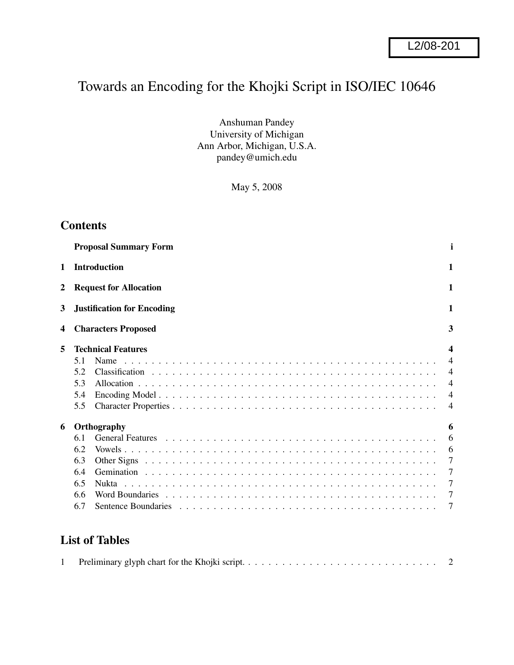# Towards an Encoding for the Khojki Script in ISO/IEC 10646

Anshuman Pandey University of Michigan Ann Arbor, Michigan, U.S.A. pandey@umich.edu

May 5, 2008

# **Contents**

|   | <b>Proposal Summary Form</b>                           | i                                                                                                |
|---|--------------------------------------------------------|--------------------------------------------------------------------------------------------------|
| 1 | <b>Introduction</b>                                    | 1                                                                                                |
| 2 | <b>Request for Allocation</b>                          | 1                                                                                                |
| 3 | <b>Justification for Encoding</b>                      | 1                                                                                                |
| 4 | <b>Characters Proposed</b>                             | 3                                                                                                |
| 5 | <b>Technical Features</b>                              | $\boldsymbol{\mathcal{A}}$                                                                       |
|   | 5.1<br>Name<br>5.2<br>5.3<br>5.4<br>5.5                | $\overline{\mathcal{A}}$<br>$\overline{4}$<br>$\overline{4}$<br>$\overline{4}$<br>$\overline{4}$ |
| 6 | Orthography                                            | 6                                                                                                |
|   | 6.1<br>6.2<br>6.3<br>6.4<br>6.5<br>Nukta<br>6.6<br>6.7 | 6<br>6<br>$\tau$<br>7<br>7<br>7<br>7                                                             |
|   |                                                        |                                                                                                  |

# **List of Tables**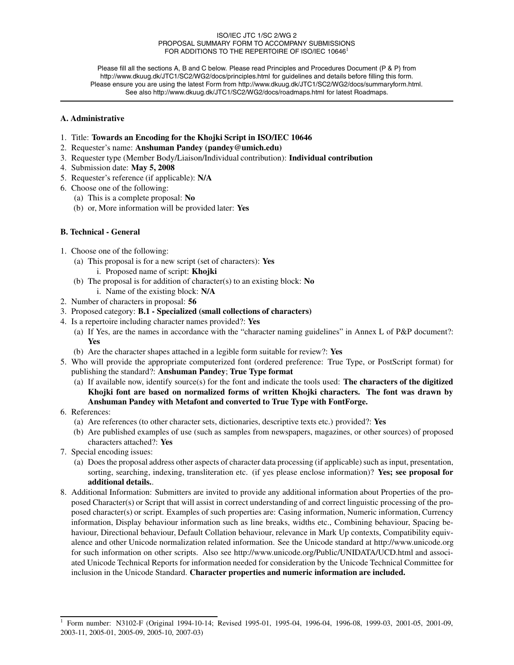#### ISO/IEC JTC 1/SC 2/WG 2 PROPOSAL SUMMARY FORM TO ACCOMPANY SUBMISSIONS FOR ADDITIONS TO THE REPERTOIRE OF ISO/IEC 10646<sup>1</sup>

Please fill all the sections A, B and C below. Please read Principles and Procedures Document (P & P) from http://www.dkuug.dk/JTC1/SC2/WG2/docs/principles.html for guidelines and details before filling this form. Please ensure you are using the latest Form from http://www.dkuug.dk/JTC1/SC2/WG2/docs/summaryform.html. See also http://www.dkuug.dk/JTC1/SC2/WG2/docs/roadmaps.html for latest Roadmaps.

#### **A. Administrative**

- 1. Title: **Towards an Encoding for the Khojki Script in ISO/IEC 10646**
- 2. Requester's name: **Anshuman Pandey (pandey@umich.edu)**
- 3. Requester type (Member Body/Liaison/Individual contribution): **Individual contribution**
- 4. Submission date: **May 5, 2008**
- 5. Requester's reference (if applicable): **N/A**
- 6. Choose one of the following:
	- (a) This is a complete proposal: **No**
	- (b) or, More information will be provided later: **Yes**

#### **B. Technical - General**

- 1. Choose one of the following:
	- (a) This proposal is for a new script (set of characters): **Yes**
		- i. Proposed name of script: **Khojki**
	- (b) The proposal is for addition of character(s) to an existing block: **No**
		- i. Name of the existing block: **N/A**
- 2. Number of characters in proposal: **56**
- 3. Proposed category: **B.1 Specialized (small collections of characters)**
- 4. Is a repertoire including character names provided?: **Yes**
	- (a) If Yes, are the names in accordance with the "character naming guidelines" in Annex L of P&P document?: **Yes**
	- (b) Are the character shapes attached in a legible form suitable for review?: **Yes**
- 5. Who will provide the appropriate computerized font (ordered preference: True Type, or PostScript format) for publishing the standard?: **Anshuman Pandey**; **True Type format**
	- (a) If available now, identify source(s) for the font and indicate the tools used: **The characters of the digitized Khojki font are based on normalized forms of written Khojki characters. The font was drawn by Anshuman Pandey with Metafont and converted to True Type with FontForge.**
- 6. References:
	- (a) Are references (to other character sets, dictionaries, descriptive texts etc.) provided?: **Yes**
	- (b) Are published examples of use (such as samples from newspapers, magazines, or other sources) of proposed characters attached?: **Yes**
- 7. Special encoding issues:
	- (a) Does the proposal address other aspects of character data processing (if applicable) such as input, presentation, sorting, searching, indexing, transliteration etc. (if yes please enclose information)? **Yes; see proposal for additional details.**.
- 8. Additional Information: Submitters are invited to provide any additional information about Properties of the proposed Character(s) or Script that will assist in correct understanding of and correct linguistic processing of the proposed character(s) or script. Examples of such properties are: Casing information, Numeric information, Currency information, Display behaviour information such as line breaks, widths etc., Combining behaviour, Spacing behaviour, Directional behaviour, Default Collation behaviour, relevance in Mark Up contexts, Compatibility equivalence and other Unicode normalization related information. See the Unicode standard at http://www.unicode.org for such information on other scripts. Also see http://www.unicode.org/Public/UNIDATA/UCD.html and associated Unicode Technical Reports for information needed for consideration by the Unicode Technical Committee for inclusion in the Unicode Standard. **Character properties and numeric information are included.**

<sup>1</sup> Form number: N3102-F (Original 1994-10-14; Revised 1995-01, 1995-04, 1996-04, 1996-08, 1999-03, 2001-05, 2001-09, 2003-11, 2005-01, 2005-09, 2005-10, 2007-03)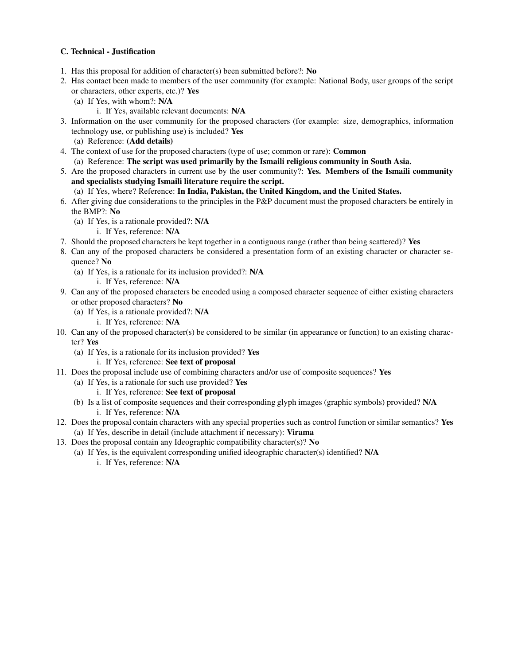#### **C. Technical - Justification**

- 1. Has this proposal for addition of character(s) been submitted before?: **No**
- 2. Has contact been made to members of the user community (for example: National Body, user groups of the script or characters, other experts, etc.)? **Yes**
	- (a) If Yes, with whom?: **N/A**
		- i. If Yes, available relevant documents: **N/A**
- 3. Information on the user community for the proposed characters (for example: size, demographics, information technology use, or publishing use) is included? **Yes**
	- (a) Reference: **(Add details)**
- 4. The context of use for the proposed characters (type of use; common or rare): **Common**
- (a) Reference: **The script was used primarily by the Ismaili religious community in South Asia.**
- 5. Are the proposed characters in current use by the user community?: **Yes. Members of the Ismaili community and specialists studying Ismaili literature require the script.**
	- (a) If Yes, where? Reference: **In India, Pakistan, the United Kingdom, and the United States.**
- 6. After giving due considerations to the principles in the P&P document must the proposed characters be entirely in the BMP?: **No**
	- (a) If Yes, is a rationale provided?: **N/A**
		- i. If Yes, reference: **N/A**
- 7. Should the proposed characters be kept together in a contiguous range (rather than being scattered)? **Yes**
- 8. Can any of the proposed characters be considered a presentation form of an existing character or character sequence? **No**
	- (a) If Yes, is a rationale for its inclusion provided?: **N/A**
		- i. If Yes, reference: **N/A**
- 9. Can any of the proposed characters be encoded using a composed character sequence of either existing characters or other proposed characters? **No**
	- (a) If Yes, is a rationale provided?: **N/A**
		- i. If Yes, reference: **N/A**
- 10. Can any of the proposed character(s) be considered to be similar (in appearance or function) to an existing character? **Yes**
	- (a) If Yes, is a rationale for its inclusion provided? **Yes**
		- i. If Yes, reference: **See text of proposal**
- 11. Does the proposal include use of combining characters and/or use of composite sequences? **Yes**
	- (a) If Yes, is a rationale for such use provided? **Yes**
		- i. If Yes, reference: **See text of proposal**
	- (b) Is a list of composite sequences and their corresponding glyph images (graphic symbols) provided? **N/A** i. If Yes, reference: **N/A**
- 12. Does the proposal contain characters with any special properties such as control function or similar semantics? **Yes** (a) If Yes, describe in detail (include attachment if necessary): **Virama**
- 13. Does the proposal contain any Ideographic compatibility character(s)? **No**
	- (a) If Yes, is the equivalent corresponding unified ideographic character(s) identified? **N/A**
		- i. If Yes, reference: **N/A**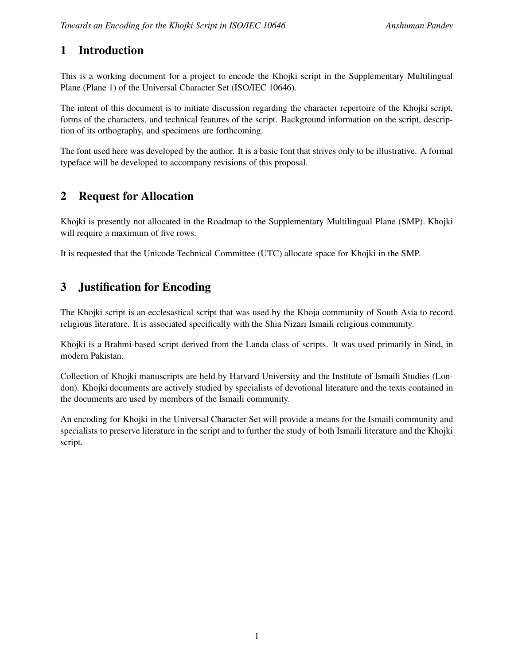# **1 Introduction**

This is a working document for a project to encode the Khojki script in the Supplementary Multilingual Plane (Plane 1) of the Universal Character Set (ISO/IEC 10646).

The intent of this document is to initiate discussion regarding the character repertoire of the Khojki script, forms of the characters, and technical features of the script. Background information on the script, description of its orthography, and specimens are forthcoming.

The font used here was developed by the author. It is a basic font that strives only to be illustrative. A formal typeface will be developed to accompany revisions of this proposal.

# **2 Request for Allocation**

Khojki is presently not allocated in the Roadmap to the Supplementary Multilingual Plane (SMP). Khojki will require a maximum of five rows.

It is requested that the Unicode Technical Committee (UTC) allocate space for Khojki in the SMP.

# **3 Justification for Encoding**

The Khojki script is an ecclesastical script that was used by the Khoja community of South Asia to record religious literature. It is associated specifically with the Shia Nizari Ismaili religious community.

Khojki is a Brahmi-based script derived from the Landa class of scripts. It was used primarily in Sind, in modern Pakistan.

Collection of Khojki manuscripts are held by Harvard University and the Institute of Ismaili Studies (London). Khojki documents are actively studied by specialists of devotional literature and the texts contained in the documents are used by members of the Ismaili community.

An encoding for Khojki in the Universal Character Set will provide a means for the Ismaili community and specialists to preserve literature in the script and to further the study of both Ismaili literature and the Khojki script.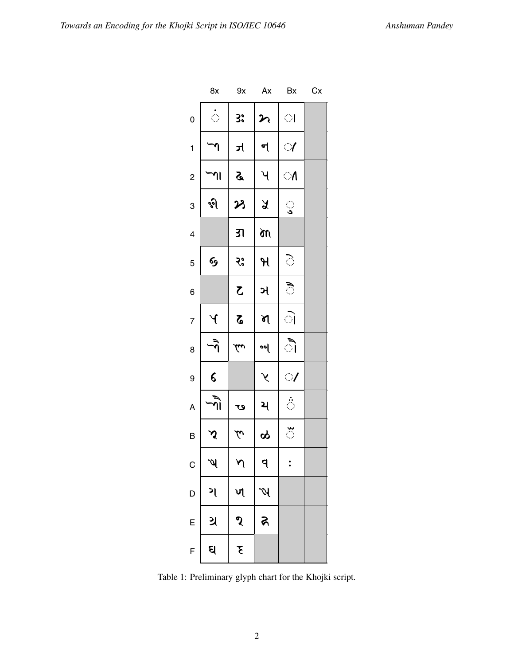|                          | 8x                         | 9x                    | Ax                       | Bx             | Cx |
|--------------------------|----------------------------|-----------------------|--------------------------|----------------|----|
| $\mathbf 0$              | $\hat{\mathcal{C}}$        | 3°                    | $\boldsymbol{\varkappa}$ | $\bigcirc$     |    |
| $\mathbf{1}$             | 7                          | ત્ર                   | ન                        | $\mathcal{A}$  |    |
| $\overline{\mathbf{c}}$  | ่ ใ                        | <b>S</b>              | પ                        | $\bigcirc$     |    |
| 3                        | જી                         | み                     | $\lambda$                | ु              |    |
| $\overline{\mathcal{L}}$ |                            | उा                    | m                        |                |    |
| 5                        | જી                         | २:                    | $\overline{\mathcal{H}}$ | े              |    |
| 6                        |                            | $\zeta$               | ઞ                        | ै              |    |
| $\overline{7}$           | $\mathcal Y$               | $\boldsymbol{\delta}$ | N                        | ो              |    |
| 8                        | ৰ্ন                        | lw                    | <mark>०</mark> ०         | ॏ              |    |
| 9                        | $\epsilon$                 |                       | $\lambda$                | $\mathcal{A}$  |    |
| A                        | $\widehat{\eta}$           | ڡ                     | ય                        | $\ddot{\circ}$ |    |
| B                        | $\boldsymbol{\mathcal{S}}$ | $\tilde{\mathcal{L}}$ | ထု                       | $\frac{3}{2}$  |    |
| $\mathsf{C}$             | $\mathscr{V}$              | $\lambda$             | P                        | ٠              |    |
| D                        | ગ                          | ৸                     | Ŋ                        |                |    |
| E                        | ગ્ર                        | ૧                     | न्न                      |                |    |
| F                        | ઘ                          | $\overline{\xi}$      |                          |                |    |

Table 1: Preliminary glyph chart for the Khojki script.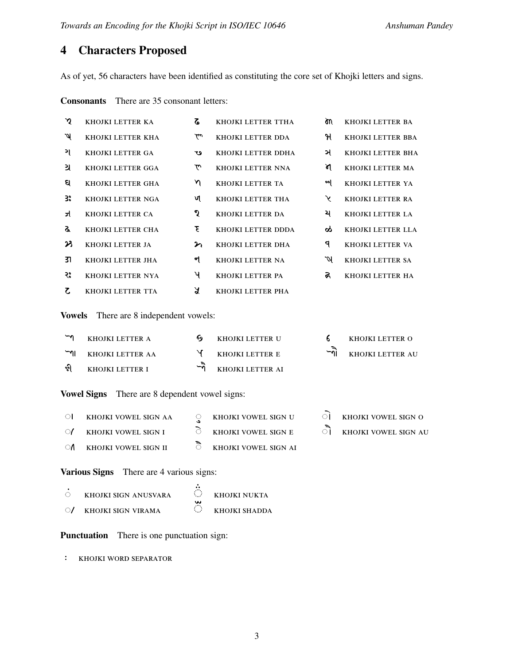# **4 Characters Proposed**

As of yet, 56 characters have been identified as constituting the core set of Khojki letters and signs.

**Consonants** There are 35 consonant letters:

| $\mathbf{\hat{y}}$       | KHOJKI LETTER KA                                      | $\mathbf{z}$          | KHOJKI LETTER TTHA   | òn                   | KHOJKI LETTER BA     |
|--------------------------|-------------------------------------------------------|-----------------------|----------------------|----------------------|----------------------|
| પ                        | KHOJKI LETTER KHA                                     | بعكم                  | KHOJKI LETTER DDA    | મ                    | KHOJKI LETTER BBA    |
| ગ                        | KHOJKI LETTER GA                                      | ڡ                     | KHOJKI LETTER DDHA   | ઞ                    | KHOJKI LETTER BHA    |
| ગ્ર                      | KHOJKI LETTER GGA                                     | $\tilde{\mathcal{L}}$ | KHOJKI LETTER NNA    | শ                    | KHOJKI LETTER MA     |
| ସ                        | KHOJKI LETTER GHA                                     | $\gamma$              | KHOJKI LETTER TA     | ৽৽[                  | KHOJKI LETTER YA     |
| 3.                       | KHOJKI LETTER NGA                                     | খ                     | KHOJKI LETTER THA    | Υ                    | KHOJKI LETTER RA     |
| ન્ન                      | KHOJKI LETTER CA                                      | ૧                     | KHOJKI LETTER DA     | ય                    | KHOJKI LETTER LA     |
| ଙ୍କ                      | KHOJKI LETTER CHA                                     | Έ                     | KHOJKI LETTER DDDA   | ಹ                    | KHOJKI LETTER LLA    |
| プ                        | KHOJKI LETTER JA                                      | η                     | KHOJKI LETTER DHA    | ঀ                    | KHOJKI LETTER VA     |
| उा                       | KHOJKI LETTER JHA                                     | ન                     | KHOJKI LETTER NA     | W                    | KHOJKI LETTER SA     |
| २:                       | KHOJKI LETTER NYA                                     | પ                     | KHOJKI LETTER PA     | ର                    | KHOJKI LETTER HA     |
| $\mathcal{L}$            | KHOJKI LETTER TTA                                     | $\chi$                | KHOJKI LETTER PHA    |                      |                      |
| <b>Vowels</b>            | There are 8 independent vowels:                       |                       |                      |                      |                      |
| $\overline{\phantom{a}}$ | KHOJKI LETTER A                                       | 69                    | KHOJKI LETTER U      | 6.                   | KHOJKI LETTER O      |
| $\overline{r}$           | KHOJKI LETTER AA                                      | Y                     | KHOJKI LETTER E      | $\tilde{\mathbb{P}}$ | KHOJKI LETTER AU     |
| જી                       | KHOJKI LETTER I                                       | $\tilde{r}$           | KHOJKI LETTER AI     |                      |                      |
|                          | <b>Vowel Signs</b> There are 8 dependent vowel signs: |                       |                      |                      |                      |
| $\bigcirc$               | KHOJKI VOWEL SIGN AA                                  | ु                     | KHOJKI VOWEL SIGN U  | ा                    | KHOJKI VOWEL SIGN O  |
| $\circ$                  | KHOJKI VOWEL SIGN I                                   | े                     | KHOJKI VOWEL SIGN E  | ै।                   | KHOJKI VOWEL SIGN AU |
| ೂ                        | KHOJKI VOWEL SIGN II                                  | ै                     | KHOJKI VOWEL SIGN AI |                      |                      |

**Various Signs** There are 4 various signs:

|              | KHOJKI SIGN ANUSVARA | $\mathcal{L}_{\mathcal{A}}$<br>w | KHOIKI NUKTA  |
|--------------|----------------------|----------------------------------|---------------|
| $\bigcirc$ / | KHOIKI SIGN VIRAMA   |                                  | KHOJKI SHADDA |

 $\ddot{\cdot}$ 

**Punctuation** There is one punctuation sign:

Ê khojki word separator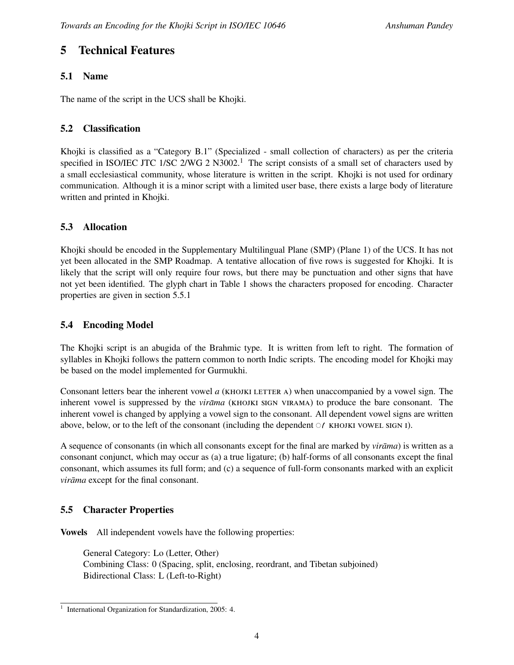# **5 Technical Features**

### **5.1 Name**

The name of the script in the UCS shall be Khojki.

### **5.2 Classification**

Khojki is classified as a "Category B.1" (Specialized - small collection of characters) as per the criteria specified in ISO/IEC JTC 1/SC 2/WG 2 N3002.<sup>1</sup> The script consists of a small set of characters used by a small ecclesiastical community, whose literature is written in the script. Khojki is not used for ordinary communication. Although it is a minor script with a limited user base, there exists a large body of literature written and printed in Khojki.

### **5.3 Allocation**

Khojki should be encoded in the Supplementary Multilingual Plane (SMP) (Plane 1) of the UCS. It has not yet been allocated in the SMP Roadmap. A tentative allocation of five rows is suggested for Khojki. It is likely that the script will only require four rows, but there may be punctuation and other signs that have not yet been identified. The glyph chart in Table 1 shows the characters proposed for encoding. Character properties are given in section 5.5.1

### **5.4 Encoding Model**

The Khojki script is an abugida of the Brahmic type. It is written from left to right. The formation of syllables in Khojki follows the pattern common to north Indic scripts. The encoding model for Khojki may be based on the model implemented for Gurmukhi.

Consonant letters bear the inherent vowel *a* (KHOJKI LETTER A) when unaccompanied by a vowel sign. The inherent vowel is suppressed by the *virāma (KHOJKI SIGN VIRAMA)* to produce the bare consonant. The inherent vowel is changed by applying a vowel sign to the consonant. All dependent vowel signs are written above, below, or to the left of the consonant (including the dependent  $\mathcal{C}/K$  khojki vowel sign i).

A sequence of consonants (in which all consonants except for the final are marked by *virama*) is written as a consonant conjunct, which may occur as (a) a true ligature; (b) half-forms of all consonants except the final consonant, which assumes its full form; and (c) a sequence of full-form consonants marked with an explicit *virāma* except for the final consonant.

### **5.5 Character Properties**

**Vowels** All independent vowels have the following properties:

General Category: Lo (Letter, Other) Combining Class: 0 (Spacing, split, enclosing, reordrant, and Tibetan subjoined) Bidirectional Class: L (Left-to-Right)

<sup>1</sup> International Organization for Standardization, 2005: 4.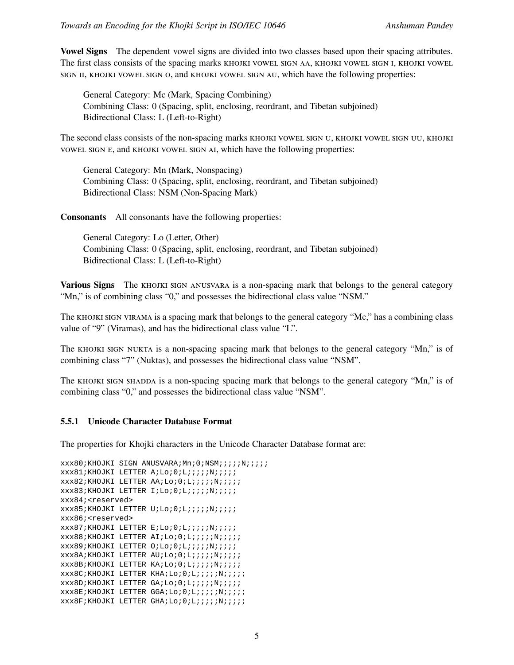**Vowel Signs** The dependent vowel signs are divided into two classes based upon their spacing attributes. The first class consists of the spacing marks khojki vowel sign aa, khojki vowel sign i, khojki vowel sign ii, khojki vowel sign o, and khojki vowel sign au, which have the following properties:

General Category: Mc (Mark, Spacing Combining) Combining Class: 0 (Spacing, split, enclosing, reordrant, and Tibetan subjoined) Bidirectional Class: L (Left-to-Right)

The second class consists of the non-spacing marks khojki vowel sign u, khojki vowel sign uu, khojki vowel sign e, and khojki vowel sign ai, which have the following properties:

General Category: Mn (Mark, Nonspacing) Combining Class: 0 (Spacing, split, enclosing, reordrant, and Tibetan subjoined) Bidirectional Class: NSM (Non-Spacing Mark)

**Consonants** All consonants have the following properties:

General Category: Lo (Letter, Other) Combining Class: 0 (Spacing, split, enclosing, reordrant, and Tibetan subjoined) Bidirectional Class: L (Left-to-Right)

**Various Signs** The KHOJKI SIGN ANUSVARA is a non-spacing mark that belongs to the general category "Mn," is of combining class "0," and possesses the bidirectional class value "NSM."

The khojki sign virama is a spacing mark that belongs to the general category "Mc," has a combining class value of "9" (Viramas), and has the bidirectional class value "L".

The KHOJKI SIGN NUKTA is a non-spacing spacing mark that belongs to the general category "Mn," is of combining class "7" (Nuktas), and possesses the bidirectional class value "NSM".

The KHOJKI SIGN SHADDA is a non-spacing spacing mark that belongs to the general category "Mn," is of combining class "0," and possesses the bidirectional class value "NSM".

#### **5.5.1 Unicode Character Database Format**

The properties for Khojki characters in the Unicode Character Database format are:

```
xxx80;KHOJKI SIGN ANUSVARA;Mn;0;NSM;;;;;N;;;;;
xxx81;KHOJKI LETTER A;Lo;0;L;;;;;N;;;;;
xxx82;KHOJKI LETTER AA;Lo;0;L;;;;;;N;;;;;
xxx83;KHOJKI LETTER I;Lo;0;L;;;;;N;;;;;
xxx84;<reserved>
xxx85;KHOJKI LETTER U;Lo;0;L;;;;;N;;;;;
xxx86;<reserved>
xxx87;KHOJKI LETTER E;Lo;0;L;;;;;N;;;;;
xxx88;KHOJKI LETTER AI;Lo;0;L;;;;;N;;;;;
xxx89;KHOJKI LETTER O;Lo;0;L;;;;;N;;;;;
xxx8A;KHOJKI LETTER AU;Lo;0;L;;;;;;N;;;;;
xxx8B;KHOJKI LETTER KA;Lo;0;L;;;;;;N;;;;;
xxx8C;KHOJKI LETTER KHA;Lo;0;L;;;;;;N;;;;;
xxx8D;KHOJKI LETTER GA;Lo;0;L;;;;;;N;;;;;
xxx8E;KHOJKI LETTER GGA;Lo;0;L;;;;;N;;;;;
xxx8F;KHOJKI LETTER GHA;Lo;0;L;;;;;N;;;;;
```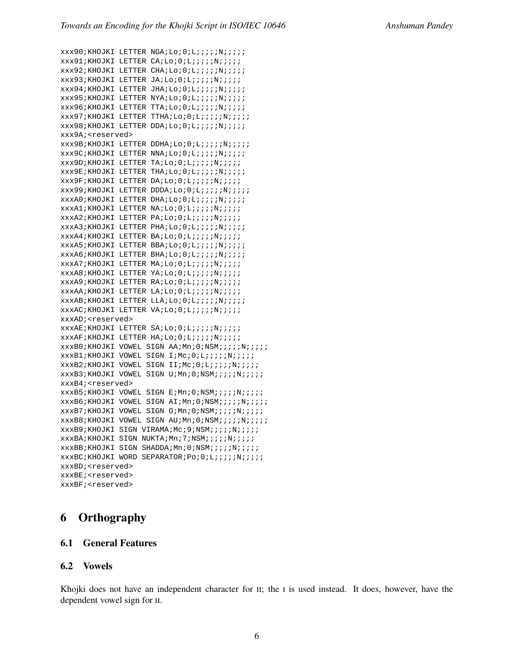```
xxx90;KHOJKI LETTER NGA;Lo;0;L;;;;;N;;;;;
xxx91;KHOJKI LETTER CA;Lo;0;L;;;;;N;;;;;
xxx92;KHOJKI LETTER CHA;Lo;0;L;;;;;;N;;;;;
xxx93;KHOJKI LETTER JA;Lo;0;L;;;;;N;;;;;
xxx94;KHOJKI LETTER JHA;Lo;0;L;;;;;;N;;;;;
xxx95;KHOJKI LETTER NYA;Lo;0;L;;;;;;N;;;;;
xxx96;KHOJKI LETTER TTA;Lo;0;L;;;;;N;;;;;
xxx97;KHOJKI LETTER TTHA;Lo;0;L;;;;;;N;;;;;
xxx98;KHOJKI LETTER DDA;Lo;0;L;;;;;;N;;;;;
xxx9A;<reserved>
xxx9B;KHOJKI LETTER DDHA;Lo;0;L;;;;;;;;;;;
xxx9C;KHOJKI LETTER NNA;Lo;0;L;;;;;;N;;;;;
xxx9D;KHOJKI LETTER TA;Lo;0;L;;;;;N;;;;;
xxx9E;KHOJKI LETTER THA;Lo;0;L;;;;;;N;;;;;
xxx9F;KHOJKI LETTER DA;Lo;0;L;;;;;N;;;;;
xxx99;KHOJKI LETTER DDDA;Lo;0;L;;;;;N;;;;;
xxxA0;KHOJKI LETTER DHA;Lo;0;L;;;;;N;;;;;
xxxA1;KHOJKI LETTER NA;Lo;O;L;;;;;;N;;;;;
xxxA2;KHOJKI LETTER PA;Lo;0;L;;;;;;N;;;;;
xxxA3;KHOJKI LETTER PHA;Lo;0;L;;;;;;N;;;;;
xxxA4;KHOJKI LETTER BA;Lo;0;L;;;;;N;;;;;
xxxA5;KHOJKI LETTER BBA;Lo;0;L;;;;;;N;;;;;
xxxA6;KHOJKI LETTER BHA;Lo;O;L;;;;;;N;;;;;
xxxA7;KHOJKI LETTER MA;Lo;0;L;;;;;N;;;;;
xxxA8;KHOJKI LETTER YA;Lo;0;L;;;;;;N;;;;;
xxxA9;KHOJKI LETTER RA;Lo;O;L;;;;;;N;;;;;
xxxAA;KHOJKI LETTER LA;Lo;0;L;;;;;N;;;;;
xxxAB;KHOJKI LETTER LLA;Lo;0;L;;;;;N;;;;;
xxxAC;KHOJKI LETTER VA;Lo;0;L;;;;;N;;;;;
xxxAD;<reserved>
xxxAE;KHOJKI LETTER SA;Lo;0;L;;;;;N;;;;;
xxxAF;KHOJKI LETTER HA;Lo;0;L;;;;;N;;;;;
xxxB0;KHOJKI VOWEL SIGN AA;Mn;0;NSM;;;;;N;;;;;
xxxB1;KHOJKI VOWEL SIGN I;Mc;0;L;;;;;N;;;;;
xxxB2;KHOJKI VOWEL SIGN II;Mc;0;L;;;;;N;;;;;
xxxB3;KHOJKI VOWEL SIGN U;Mn;0;NSM;;;;;N;;;;;
xxxB4;<reserved>
xxxB5;KHOJKI VOWEL SIGN E;Mn;0;NSM;;;;;N;;;;;
xxxB6;KHOJKI VOWEL SIGN AI;Mn;0;NSM;;;;;N;;;;;
xxxB7;KHOJKI VOWEL SIGN O;Mn;0;NSM;;;;;N;;;;;
xxxB8;KHOJKI VOWEL SIGN AU;Mn;0;NSM;;;;;N;;;;;
xxxB9;KHOJKI SIGN VIRAMA;Mc;9;NSM;;;;;N;;;;;
xxxBA;KHOJKI SIGN NUKTA;Mn;7;NSM;;;;;;;;;;
xxxBB;KHOJKI SIGN SHADDA;Mn;0;NSM;;;;;N;;;;;
xxxBC;KHOJKI WORD SEPARATOR;Po;0;L;;;;;N;;;;;
xxxBD;<reserved>
xxxBE;<reserved>
xxxBF;<reserved>
```
# **6 Orthography**

#### **6.1 General Features**

#### **6.2 Vowels**

Khojki does not have an independent character for  $\pi$ ; the I is used instead. It does, however, have the dependent vowel sign for ii.